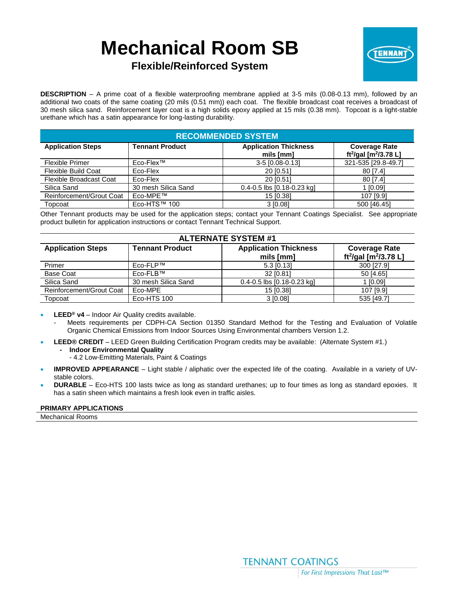# **Mechanical Room SB**



# **Flexible/Reinforced System**

**DESCRIPTION** – A prime coat of a flexible waterproofing membrane applied at 3-5 mils (0.08-0.13 mm), followed by an additional two coats of the same coating (20 mils (0.51 mm)) each coat. The flexible broadcast coat receives a broadcast of 30 mesh silica sand. Reinforcement layer coat is a high solids epoxy applied at 15 mils (0.38 mm). Topcoat is a light-stable urethane which has a satin appearance for long-lasting durability.

| <b>RECOMMENDED SYSTEM</b>      |                        |                                           |                                                                       |  |  |  |
|--------------------------------|------------------------|-------------------------------------------|-----------------------------------------------------------------------|--|--|--|
| <b>Application Steps</b>       | <b>Tennant Product</b> | <b>Application Thickness</b><br>mils [mm] | <b>Coverage Rate</b><br>ft <sup>2</sup> /gal [m <sup>2</sup> /3.78 L] |  |  |  |
| <b>Flexible Primer</b>         | Eco-Flex™              | 3-5 [0.08-0.13]                           | 321-535 [29.8-49.7]                                                   |  |  |  |
| Flexible Build Coat            | Eco-Flex               | 20 [0.51]                                 | 80 [7.4]                                                              |  |  |  |
| <b>Flexible Broadcast Coat</b> | Eco-Flex               | 20 [0.51]                                 | 80 [7.4]                                                              |  |  |  |
| Silica Sand                    | 30 mesh Silica Sand    | $0.4 - 0.5$ lbs $[0.18 - 0.23$ kg         | 1 [0.09]                                                              |  |  |  |
| Reinforcement/Grout Coat       | Eco-MPE™               | 15 [0.38]                                 | 107 [9.9]                                                             |  |  |  |
| Topcoat                        | Eco-HTS™ 100           | 3 [0.08]                                  | 500 [46.45]                                                           |  |  |  |

Other Tennant products may be used for the application steps; contact your Tennant Coatings Specialist. See appropriate product bulletin for application instructions or contact Tennant Technical Support.

| <b>ALTERNATE SYSTEM #1</b> |                        |                                           |                                                                       |  |  |
|----------------------------|------------------------|-------------------------------------------|-----------------------------------------------------------------------|--|--|
| <b>Application Steps</b>   | <b>Tennant Product</b> | <b>Application Thickness</b><br>mils [mm] | <b>Coverage Rate</b><br>ft <sup>2</sup> /gal [m <sup>2</sup> /3.78 L] |  |  |
| Primer                     | Eco-FLP™               | 5.3 [0.13]                                | 300 [27.9]                                                            |  |  |
| <b>Base Coat</b>           | Eco-FLB™               | 32 [0.81]                                 | 50 [4.65]                                                             |  |  |
| Silica Sand                | 30 mesh Silica Sand    | $0.4 - 0.5$ lbs $[0.18 - 0.23$ kg         | 1 [0.09]                                                              |  |  |
| Reinforcement/Grout Coat   | Eco-MPE                | 15 [0.38]                                 | 107 [9.9]                                                             |  |  |
| Topcoat                    | Eco-HTS 100            | 3 [0.08]                                  | 535 [49.7]                                                            |  |  |

- **LEED® v4**  Indoor Air Quality credits available.
	- Meets requirements per CDPH-CA Section 01350 Standard Method for the Testing and Evaluation of Volatile Organic Chemical Emissions from Indoor Sources Using Environmental chambers Version 1.2.
- **LEED® CREDIT** LEED Green Building Certification Program credits may be available: (Alternate System #1.)
	- **- Indoor Environmental Quality**
		- 4.2 Low-Emitting Materials, Paint & Coatings
- **IMPROVED APPEARANCE** Light stable / aliphatic over the expected life of the coating. Available in a variety of UVstable colors.
- **DURABLE** Eco-HTS 100 lasts twice as long as standard urethanes; up to four times as long as standard epoxies. It has a satin sheen which maintains a fresh look even in traffic aisles.

#### **PRIMARY APPLICATIONS**

Mechanical Rooms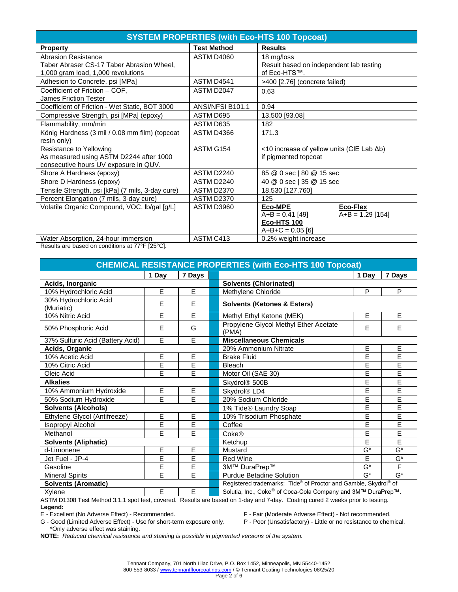| <b>SYSTEM PROPERTIES (with Eco-HTS 100 Topcoat)</b>                     |                    |                                                       |  |  |  |  |
|-------------------------------------------------------------------------|--------------------|-------------------------------------------------------|--|--|--|--|
| <b>Property</b>                                                         | <b>Test Method</b> | <b>Results</b>                                        |  |  |  |  |
| <b>Abrasion Resistance</b><br>Taber Abraser CS-17 Taber Abrasion Wheel, | ASTM D4060         | 18 mg/loss<br>Result based on independent lab testing |  |  |  |  |
| 1,000 gram load, 1,000 revolutions                                      |                    | of Eco-HTS™.                                          |  |  |  |  |
| Adhesion to Concrete, psi [MPa]                                         | ASTM D4541         | >400 [2.76] (concrete failed)                         |  |  |  |  |
| Coefficient of Friction - COF,<br>James Friction Tester                 | ASTM D2047         | 0.63                                                  |  |  |  |  |
| Coefficient of Friction - Wet Static, BOT 3000                          | ANSI/NFSI B101.1   | 0.94                                                  |  |  |  |  |
| Compressive Strength, psi [MPa] (epoxy)                                 | ASTM D695          | 13,500 [93.08]                                        |  |  |  |  |
| Flammability, mm/min                                                    | ASTM D635          | 182                                                   |  |  |  |  |
| König Hardness (3 mil / 0.08 mm film) (topcoat                          | ASTM D4366         | 171.3                                                 |  |  |  |  |
| resin only)                                                             |                    |                                                       |  |  |  |  |
| Resistance to Yellowing                                                 | ASTM G154          | <10 increase of yellow units (CIE Lab ∆b)             |  |  |  |  |
| As measured using ASTM D2244 after 1000                                 |                    | if pigmented topcoat                                  |  |  |  |  |
| consecutive hours UV exposure in QUV.                                   |                    |                                                       |  |  |  |  |
| Shore A Hardness (epoxy)                                                | ASTM D2240         | 85 @ 0 sec   80 @ 15 sec                              |  |  |  |  |
| Shore D Hardness (epoxy)                                                | ASTM D2240         | 40 @ 0 sec   35 @ 15 sec                              |  |  |  |  |
| Tensile Strength, psi [kPa] (7 mils, 3-day cure)                        | <b>ASTM D2370</b>  | 18,530 [127,760]                                      |  |  |  |  |
| Percent Elongation (7 mils, 3-day cure)                                 | <b>ASTM D2370</b>  | 125                                                   |  |  |  |  |
| Volatile Organic Compound, VOC, Ib/gal [g/L]                            | ASTM D3960         | Eco-Flex<br>Eco-MPE                                   |  |  |  |  |
|                                                                         |                    | $A+B = 0.41$ [49]<br>$A+B = 1.29$ [154]               |  |  |  |  |
|                                                                         |                    | <b>Eco-HTS 100</b>                                    |  |  |  |  |
|                                                                         |                    | $A+B+C = 0.05$ [6]                                    |  |  |  |  |
| Water Absorption, 24-hour immersion                                     | ASTM C413          | 0.2% weight increase                                  |  |  |  |  |

Results are based on conditions at 77°F [25°C].

| <b>CHEMICAL RESISTANCE PROPERTIES (with Eco-HTS 100 Topcoat)</b> |       |        |                           |                                                                 |       |                  |
|------------------------------------------------------------------|-------|--------|---------------------------|-----------------------------------------------------------------|-------|------------------|
|                                                                  | 1 Day | 7 Days |                           |                                                                 | 1 Day | 7 Days           |
| Acids, Inorganic                                                 |       |        |                           | <b>Solvents (Chlorinated)</b>                                   |       |                  |
| 10% Hydrochloric Acid                                            | E     | E      |                           | Methylene Chloride                                              | P     | P                |
| 30% Hydrochloric Acid<br>(Muriatic)                              | E     | E      |                           | <b>Solvents (Ketones &amp; Esters)</b>                          |       |                  |
| 10% Nitric Acid                                                  | E     | E      |                           | Methyl Ethyl Ketone (MEK)                                       | E     | E                |
| 50% Phosphoric Acid                                              | E     | G      |                           | Propylene Glycol Methyl Ether Acetate<br>(PMA)                  | E     |                  |
| 37% Sulfuric Acid (Battery Acid)                                 | E     | E      |                           | <b>Miscellaneous Chemicals</b>                                  |       |                  |
| Acids, Organic                                                   |       |        |                           | 20% Ammonium Nitrate                                            | E     | E                |
| 10% Acetic Acid                                                  | E     | E      |                           | <b>Brake Fluid</b>                                              | E     | E                |
| 10% Citric Acid                                                  | E     | E      |                           | Bleach                                                          | E     | E                |
| Oleic Acid                                                       | Ē     | E      |                           | Motor Oil (SAE 30)                                              | E     | E                |
| <b>Alkalies</b>                                                  |       |        | Skydrol <sup>®</sup> 500B | E                                                               | E     |                  |
| 10% Ammonium Hydroxide                                           | E     | E      |                           | Skydrol <sup>®</sup> LD4                                        | E     | E                |
| 50% Sodium Hydroxide                                             | E     | E      |                           | E<br>E<br>20% Sodium Chloride                                   |       |                  |
| <b>Solvents (Alcohols)</b>                                       |       |        |                           | 1% Tide® Laundry Soap                                           | E     | E                |
| Ethylene Glycol (Antifreeze)                                     | Е     | E      |                           | 10% Trisodium Phosphate                                         | E     | E                |
| Isopropyl Alcohol                                                | Ē     | E      |                           | Coffee                                                          | E     | E                |
| Methanol                                                         | E     | E      |                           | Coke@                                                           | E     | E                |
| <b>Solvents (Aliphatic)</b>                                      |       |        |                           | Ketchup                                                         | Ē     | E                |
| d-Limonene                                                       | E     | E      |                           | Mustard                                                         | $G^*$ | $\overline{G^*}$ |
| Jet Fuel - JP-4                                                  | E     | E      |                           | <b>Red Wine</b>                                                 | E     | G*               |
| Gasoline                                                         | E     | E      |                           | 3M™ DuraPrep™                                                   | $G^*$ | F                |
| <b>Mineral Spirits</b>                                           | E     | E      |                           | <b>Purdue Betadine Solution</b>                                 | $G^*$ | $G^*$            |
| <b>Solvents (Aromatic)</b>                                       |       |        |                           | Registered trademarks: Tide® of Proctor and Gamble, Skydrol® of |       |                  |
| Xylene                                                           | E     | E      |                           | Solutia, Inc., Coke® of Coca-Cola Company and 3M™ DuraPrep™.    |       |                  |

ASTM D1308 Test Method 3.1.1 spot test, covered. Results are based on 1-day and 7-day. Coating cured 2 weeks prior to testing.

Legend:<br>E - Excellent (No Adverse Effect) - Recommended.

G - Good (Limited Adverse Effect) - Use for short-term exposure only. \*Only adverse effect was staining.

F - Fair (Moderate Adverse Effect) - Not recommended.<br>P - Poor (Unsatisfactory) - Little or no resistance to chemical.

**NOTE:** *Reduced chemical resistance and staining is possible in pigmented versions of the system.*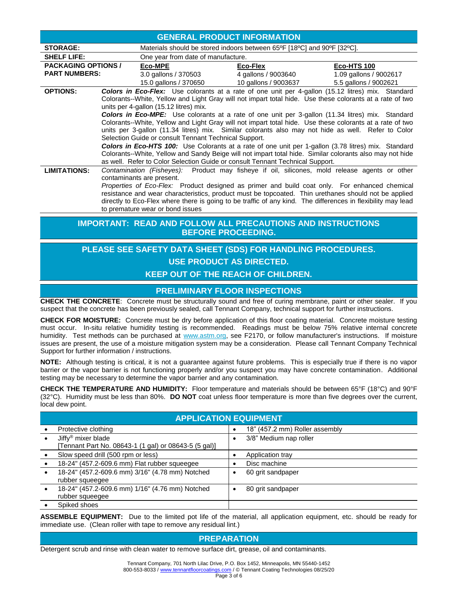|                                                                                                 |                                                                                                                                                                                                                                                                                                                                                                                    |                                                               | <b>GENERAL PRODUCT INFORMATION</b>                                      |                                                                                                                                                                                                                                                                                                                                                                                                                        |  |  |  |  |  |
|-------------------------------------------------------------------------------------------------|------------------------------------------------------------------------------------------------------------------------------------------------------------------------------------------------------------------------------------------------------------------------------------------------------------------------------------------------------------------------------------|---------------------------------------------------------------|-------------------------------------------------------------------------|------------------------------------------------------------------------------------------------------------------------------------------------------------------------------------------------------------------------------------------------------------------------------------------------------------------------------------------------------------------------------------------------------------------------|--|--|--|--|--|
| <b>STORAGE:</b>                                                                                 |                                                                                                                                                                                                                                                                                                                                                                                    |                                                               | Materials should be stored indoors between 65°F [18°C] and 90°F [32°C]. |                                                                                                                                                                                                                                                                                                                                                                                                                        |  |  |  |  |  |
| <b>SHELF LIFE:</b>                                                                              | One year from date of manufacture.                                                                                                                                                                                                                                                                                                                                                 |                                                               |                                                                         |                                                                                                                                                                                                                                                                                                                                                                                                                        |  |  |  |  |  |
| <b>PACKAGING OPTIONS /</b>                                                                      |                                                                                                                                                                                                                                                                                                                                                                                    | <b>Eco-MPE</b>                                                | Eco-Flex                                                                | <b>Eco-HTS 100</b>                                                                                                                                                                                                                                                                                                                                                                                                     |  |  |  |  |  |
| <b>PART NUMBERS:</b>                                                                            |                                                                                                                                                                                                                                                                                                                                                                                    | 3.0 gallons / 370503                                          | 4 gallons / 9003640                                                     | 1.09 gallons / 9002617                                                                                                                                                                                                                                                                                                                                                                                                 |  |  |  |  |  |
|                                                                                                 |                                                                                                                                                                                                                                                                                                                                                                                    | 15.0 gallons / 370650                                         | 10 gallons / 9003637                                                    | 5.5 gallons / 9002621                                                                                                                                                                                                                                                                                                                                                                                                  |  |  |  |  |  |
| <b>OPTIONS:</b>                                                                                 |                                                                                                                                                                                                                                                                                                                                                                                    | units per 4-gallon (15.12 litres) mix.                        |                                                                         | <b>Colors in Eco-Flex:</b> Use colorants at a rate of one unit per 4-gallon (15.12 litres) mix. Standard<br>Colorants--White, Yellow and Light Gray will not impart total hide. Use these colorants at a rate of two                                                                                                                                                                                                   |  |  |  |  |  |
|                                                                                                 | <b>Colors in Eco-MPE:</b> Use colorants at a rate of one unit per 3-gallon (11.34 litres) mix. Standard<br>Colorants--White, Yellow and Light Gray will not impart total hide. Use these colorants at a rate of two<br>units per 3-gallon (11.34 litres) mix. Similar colorants also may not hide as well. Refer to Color<br>Selection Guide or consult Tennant Technical Support. |                                                               |                                                                         |                                                                                                                                                                                                                                                                                                                                                                                                                        |  |  |  |  |  |
|                                                                                                 | <b>Colors in Eco-HTS 100:</b> Use Colorants at a rate of one unit per 1-gallon (3.78 litres) mix. Standard<br>Colorants--White, Yellow and Sandy Beige will not impart total hide. Similar colorants also may not hide<br>as well. Refer to Color Selection Guide or consult Tennant Technical Support.                                                                            |                                                               |                                                                         |                                                                                                                                                                                                                                                                                                                                                                                                                        |  |  |  |  |  |
| <b>LIMITATIONS:</b>                                                                             |                                                                                                                                                                                                                                                                                                                                                                                    | contaminants are present.<br>to premature wear or bond issues |                                                                         | Contamination (Fisheyes): Product may fisheye if oil, silicones, mold release agents or other<br>Properties of Eco-Flex: Product designed as primer and build coat only. For enhanced chemical<br>resistance and wear characteristics, product must be topcoated. Thin urethanes should not be applied<br>directly to Eco-Flex where there is going to be traffic of any kind. The differences in flexibility may lead |  |  |  |  |  |
| <b>IMPORTANT: READ AND FOLLOW ALL PRECAUTIONS AND INSTRUCTIONS</b><br><b>BEFORE PROCEEDING.</b> |                                                                                                                                                                                                                                                                                                                                                                                    |                                                               |                                                                         |                                                                                                                                                                                                                                                                                                                                                                                                                        |  |  |  |  |  |

# **PLEASE SEE SAFETY DATA SHEET (SDS) FOR HANDLING PROCEDURES. USE PRODUCT AS DIRECTED. KEEP OUT OF THE REACH OF CHILDREN.**

# **PRELIMINARY FLOOR INSPECTIONS**

**CHECK THE CONCRETE**: Concrete must be structurally sound and free of curing membrane, paint or other sealer. If you suspect that the concrete has been previously sealed, call Tennant Company, technical support for further instructions.

**CHECK FOR MOISTURE:** Concrete must be dry before application of this floor coating material. Concrete moisture testing must occur. In-situ relative humidity testing is recommended. Readings must be below 75% relative internal concrete humidity. Test methods can be purchased at www.astm.org, see F2170, or follow manufacturer's instructions. If moisture issues are present, the use of a moisture mitigation system may be a consideration. Please call Tennant Company Technical Support for further information / instructions.

**NOTE:** Although testing is critical, it is not a guarantee against future problems. This is especially true if there is no vapor barrier or the vapor barrier is not functioning properly and/or you suspect you may have concrete contamination. Additional testing may be necessary to determine the vapor barrier and any contamination.

**CHECK THE TEMPERATURE AND HUMIDITY:** Floor temperature and materials should be between 65°F (18°C) and 90°F (32°C). Humidity must be less than 80%. **DO NOT** coat unless floor temperature is more than five degrees over the current, local dew point.

| <b>APPLICATION EQUIPMENT</b>                          |           |                                |  |  |  |  |
|-------------------------------------------------------|-----------|--------------------------------|--|--|--|--|
| Protective clothing                                   | $\bullet$ | 18" (457.2 mm) Roller assembly |  |  |  |  |
| Jiffy <sup>®</sup> mixer blade                        | $\bullet$ | 3/8" Medium nap roller         |  |  |  |  |
| [Tennant Part No. 08643-1 (1 gal) or 08643-5 (5 gal)] |           |                                |  |  |  |  |
| Slow speed drill (500 rpm or less)                    | $\bullet$ | Application tray               |  |  |  |  |
| 18-24" (457.2-609.6 mm) Flat rubber squeegee          |           | Disc machine                   |  |  |  |  |
| 18-24" (457.2-609.6 mm) 3/16" (4.78 mm) Notched       |           | 60 grit sandpaper              |  |  |  |  |
| rubber squeeqee                                       |           |                                |  |  |  |  |
| 18-24" (457.2-609.6 mm) 1/16" (4.76 mm) Notched       |           | 80 grit sandpaper              |  |  |  |  |
| rubber squeegee                                       |           |                                |  |  |  |  |
| Spiked shoes                                          |           |                                |  |  |  |  |

**ASSEMBLE EQUIPMENT:** Due to the limited pot life of the material, all application equipment, etc. should be ready for immediate use. (Clean roller with tape to remove any residual lint.)

# **PREPARATION**

Detergent scrub and rinse with clean water to remove surface dirt, grease, oil and contaminants.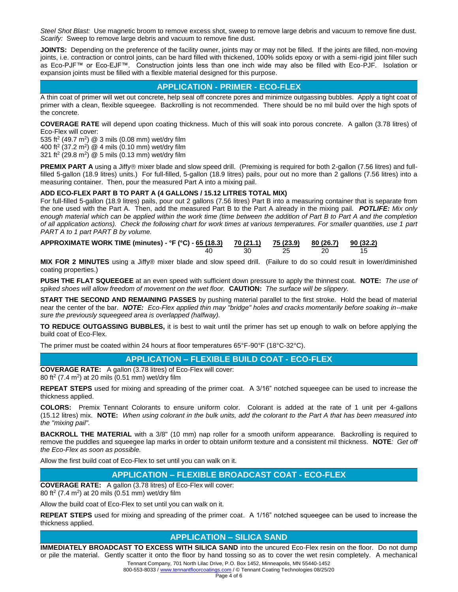*Steel Shot Blast:* Use magnetic broom to remove excess shot, sweep to remove large debris and vacuum to remove fine dust. *Scarify:* Sweep to remove large debris and vacuum to remove fine dust.

**JOINTS:** Depending on the preference of the facility owner, joints may or may not be filled. If the joints are filled, non-moving joints, i.e. contraction or control joints, can be hard filled with thickened, 100% solids epoxy or with a semi-rigid joint filler such as Eco-PJF™ or Eco-EJF™. Construction joints less than one inch wide may also be filled with Eco-PJF. Isolation or expansion joints must be filled with a flexible material designed for this purpose.

# **APPLICATION - PRIMER - ECO-FLEX**

A thin coat of primer will wet out concrete, help seal off concrete pores and minimize outgassing bubbles. Apply a tight coat of primer with a clean, flexible squeegee. Backrolling is not recommended. There should be no mil build over the high spots of the concrete.

**COVERAGE RATE** will depend upon coating thickness. Much of this will soak into porous concrete. A gallon (3.78 litres) of Eco-Flex will cover:

535 ft<sup>2</sup> (49.7 m<sup>2</sup>) @ 3 mils (0.08 mm) wet/dry film

400 ft<sup>2</sup> (37.2 m<sup>2</sup>) @ 4 mils (0.10 mm) wet/dry film 321 ft<sup>2</sup> (29.8 m<sup>2</sup>) @ 5 mils (0.13 mm) wet/dry film

**PREMIX PART A** using a Jiffy® mixer blade and slow speed drill. (Premixing is required for both 2-gallon (7.56 litres) and fullfilled 5-gallon (18.9 litres) units.) For full-filled, 5-gallon (18.9 litres) pails, pour out no more than 2 gallons (7.56 litres) into a measuring container. Then, pour the measured Part A into a mixing pail.

#### **ADD ECO-FLEX PART B TO PART A (4 GALLONS / 15.12 LITRES TOTAL MIX)**

For full-filled 5-gallon (18.9 litres) pails, pour out 2 gallons (7.56 litres) Part B into a measuring container that is separate from the one used with the Part A. Then, add the measured Part B to the Part A already in the mixing pail. *POTLIFE: Mix only enough material which can be applied within the work time (time between the addition of Part B to Part A and the completion of all application actions). Check the following chart for work times at various temperatures. For smaller quantities, use 1 part PART A to 1 part PART B by volume.*

| APPROXIMATE WORK TIME (minutes) - °F (°C) - 65 (18.3) 70 (21.1) 75 (23.9) 80 (26.7) 90 (32.2) |    |  |  |
|-----------------------------------------------------------------------------------------------|----|--|--|
|                                                                                               | 30 |  |  |

**MIX FOR 2 MINUTES** using a Jiffy® mixer blade and slow speed drill. (Failure to do so could result in lower/diminished coating properties.)

**PUSH THE FLAT SQUEEGEE** at an even speed with sufficient down pressure to apply the thinnest coat. **NOTE:** *The use of spiked shoes will allow freedom of movement on the wet floor.* **CAUTION:** *The surface will be slippery.*

**START THE SECOND AND REMAINING PASSES** by pushing material parallel to the first stroke. Hold the bead of material near the center of the bar. *NOTE: Eco-Flex applied thin may "bridge" holes and cracks momentarily before soaking in--make sure the previously squeegeed area is overlapped (halfway).*

**TO REDUCE OUTGASSING BUBBLES,** it is best to wait until the primer has set up enough to walk on before applying the build coat of Eco-Flex.

The primer must be coated within 24 hours at floor temperatures 65°F-90°F (18°C-32°C).

# **APPLICATION – FLEXIBLE BUILD COAT - ECO-FLEX**

**COVERAGE RATE:** A gallon (3.78 litres) of Eco-Flex will cover: 80 ft<sup>2</sup> (7.4 m<sup>2</sup>) at 20 mils (0.51 mm) wet/dry film

**REPEAT STEPS** used for mixing and spreading of the primer coat. A 3/16" notched squeegee can be used to increase the thickness applied.

**COLORS:** Premix Tennant Colorants to ensure uniform color. Colorant is added at the rate of 1 unit per 4-gallons (15.12 litres) mix. **NOTE:** *When using colorant in the bulk units, add the colorant to the Part A that has been measured into the "mixing pail".*

**BACKROLL THE MATERIAL** with a 3/8" (10 mm) nap roller for a smooth uniform appearance. Backrolling is required to remove the puddles and squeegee lap marks in order to obtain uniform texture and a consistent mil thickness. **NOTE***: Get off the Eco-Flex as soon as possible.*

Allow the first build coat of Eco-Flex to set until you can walk on it.

# **APPLICATION – FLEXIBLE BROADCAST COAT - ECO-FLEX**

**COVERAGE RATE:** A gallon (3.78 litres) of Eco-Flex will cover: 80 ft<sup>2</sup> (7.4 m<sup>2</sup>) at 20 mils (0.51 mm) wet/dry film

Allow the build coat of Eco-Flex to set until you can walk on it.

**REPEAT STEPS** used for mixing and spreading of the primer coat. A 1/16" notched squeegee can be used to increase the thickness applied.

#### **APPLICATION – SILICA SAND**

Tennant Company, 701 North Lilac Drive, P.O. Box 1452, Minneapolis, MN 55440-1452 **IMMEDIATELY BROADCAST TO EXCESS WITH SILICA SAND** into the uncured Eco-Flex resin on the floor. Do not dump or pile the material. Gently scatter it onto the floor by hand tossing so as to cover the wet resin completely. A mechanical

800-553-8033 [/ www.tennantfloorcoatings.com](http://www.tennantfloorcoatings.com/) / © Tennant Coating Technologies 08/25/20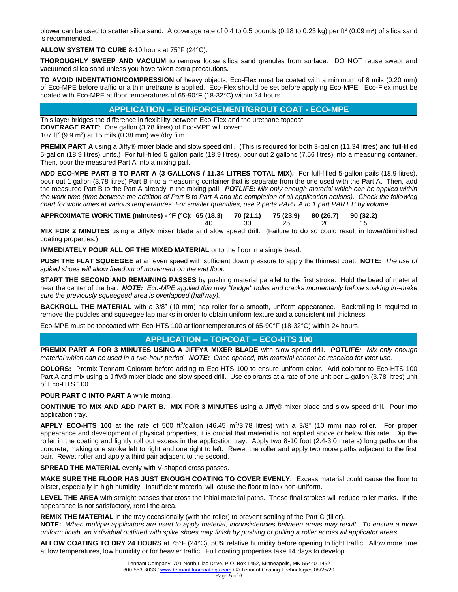blower can be used to scatter silica sand. A coverage rate of 0.4 to 0.5 pounds (0.18 to 0.23 kg) per ft<sup>2</sup> (0.09 m<sup>2</sup>) of silica sand is recommended.

**ALLOW SYSTEM TO CURE** 8-10 hours at 75°F (24°C).

**THOROUGHLY SWEEP AND VACUUM** to remove loose silica sand granules from surface. DO NOT reuse swept and vacuumed silica sand unless you have taken extra precautions.

**TO AVOID INDENTATION/COMPRESSION** of heavy objects, Eco-Flex must be coated with a minimum of 8 mils (0.20 mm) of Eco-MPE before traffic or a thin urethane is applied. Eco-Flex should be set before applying Eco-MPE. Eco-Flex must be coated with Eco-MPE at floor temperatures of 65-90°F (18-32°C) within 24 hours.

### **APPLICATION – REINFORCEMENT/GROUT COAT - ECO-MPE**

This layer bridges the difference in flexibility between Eco-Flex and the urethane topcoat.

**COVERAGE RATE**: One gallon (3.78 litres) of Eco-MPE will cover: 107 ft<sup>2</sup> (9.9 m<sup>2</sup>) at 15 mils (0.38 mm) wet/dry film

**PREMIX PART A** using a Jiffy® mixer blade and slow speed drill. (This is required for both 3-gallon (11.34 litres) and full-filled 5-gallon (18.9 litres) units.) For full-filled 5 gallon pails (18.9 litres), pour out 2 gallons (7.56 litres) into a measuring container. Then, pour the measured Part A into a mixing pail.

**ADD ECO-MPE PART B TO PART A (3 GALLONS / 11.34 LITRES TOTAL MIX).** For full-filled 5-gallon pails (18.9 litres), pour out 1 gallon (3.78 litres) Part B into a measuring container that is separate from the one used with the Part A. Then, add the measured Part B to the Part A already in the mixing pail. *POTLIFE: Mix only enough material which can be applied within the work time (time between the addition of Part B to Part A and the completion of all application actions). Check the following chart for work times at various temperatures. For smaller quantities, use 2 parts PART A to 1 part PART B by volume.* 

**APPROXIMATE WORK TIME (minutes) - °F (°C): 65 (18.3) 70 (21.1) 75 (23.9) 80 (26.7) 90 (32.2)** 40 30 25 20 15

**MIX FOR 2 MINUTES** using a Jiffy® mixer blade and slow speed drill. (Failure to do so could result in lower/diminished coating properties.)

**IMMEDIATELY POUR ALL OF THE MIXED MATERIAL** onto the floor in a single bead.

**PUSH THE FLAT SQUEEGEE** at an even speed with sufficient down pressure to apply the thinnest coat. **NOTE:** *The use of spiked shoes will allow freedom of movement on the wet floor.*

**START THE SECOND AND REMAINING PASSES** by pushing material parallel to the first stroke. Hold the bead of material near the center of the bar. *NOTE: Eco-MPE applied thin may "bridge" holes and cracks momentarily before soaking in--make sure the previously squeegeed area is overlapped (halfway).*

**BACKROLL THE MATERIAL** with a 3/8" (10 mm) nap roller for a smooth, uniform appearance. Backrolling is required to remove the puddles and squeegee lap marks in order to obtain uniform texture and a consistent mil thickness.

Eco-MPE must be topcoated with Eco-HTS 100 at floor temperatures of 65-90°F (18-32°C) within 24 hours.

#### **APPLICATION – TOPCOAT – ECO-HTS 100**

**PREMIX PART A FOR 3 MINUTES USING A JIFFY® MIXER BLADE** with slow speed drill. *POTLIFE: Mix only enough material which can be used in a two-hour period. NOTE: Once opened, this material cannot be resealed for later use.*

**COLORS:** Premix Tennant Colorant before adding to Eco-HTS 100 to ensure uniform color. Add colorant to Eco-HTS 100 Part A and mix using a Jiffy® mixer blade and slow speed drill. Use colorants at a rate of one unit per 1-gallon (3.78 litres) unit of Eco-HTS 100.

#### **POUR PART C INTO PART A** while mixing.

**CONTINUE TO MIX AND ADD PART B. MIX FOR 3 MINUTES** using a Jiffy® mixer blade and slow speed drill. Pour into application tray.

**APPLY ECO-HTS 100** at the rate of 500 ft<sup>2</sup>/gallon (46.45 m<sup>2</sup>/3.78 litres) with a 3/8" (10 mm) nap roller. For proper appearance and development of physical properties, it is crucial that material is not applied above or below this rate. Dip the roller in the coating and lightly roll out excess in the application tray. Apply two 8-10 foot (2.4-3.0 meters) long paths on the concrete, making one stroke left to right and one right to left. Rewet the roller and apply two more paths adjacent to the first pair. Rewet roller and apply a third pair adjacent to the second.

**SPREAD THE MATERIAL** evenly with V-shaped cross passes.

**MAKE SURE THE FLOOR HAS JUST ENOUGH COATING TO COVER EVENLY.** Excess material could cause the floor to blister, especially in high humidity. Insufficient material will cause the floor to look non-uniform.

**LEVEL THE AREA** with straight passes that cross the initial material paths. These final strokes will reduce roller marks. If the appearance is not satisfactory, reroll the area.

**REMIX THE MATERIAL** in the tray occasionally (with the roller) to prevent settling of the Part C (filler).

**NOTE:** *When multiple applicators are used to apply material, inconsistencies between areas may result. To ensure a more uniform finish, an individual outfitted with spike shoes may finish by pushing or pulling a roller across all applicator areas.*

**ALLOW COATING TO DRY 24 HOURS** at 75°F (24°C), 50% relative humidity before opening to light traffic. Allow more time at low temperatures, low humidity or for heavier traffic. Full coating properties take 14 days to develop.